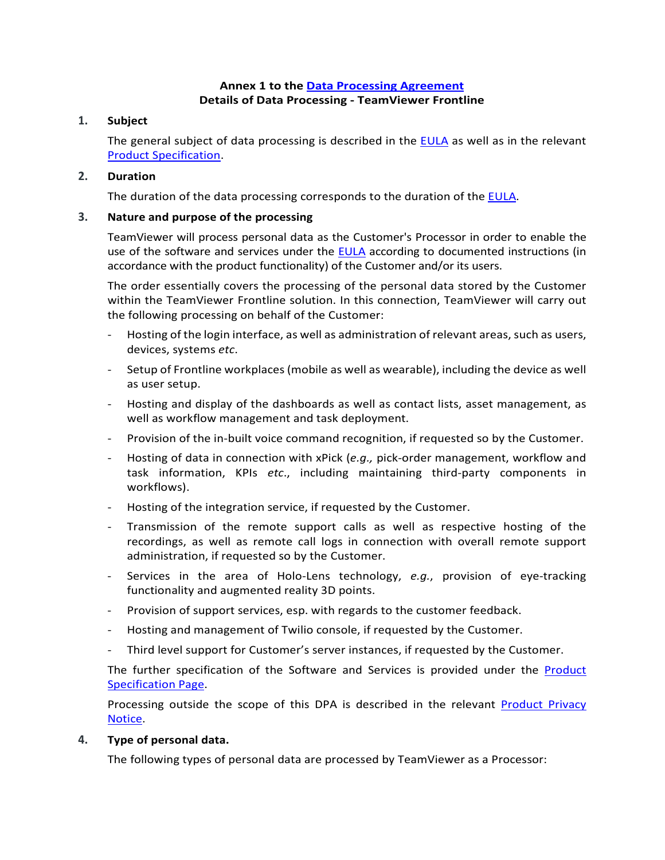# **Annex 1 to the [Data Processing Agreement](https://www.teamviewer.com/en/eula/#dpa) Details of Data Processing - TeamViewer Frontline**

# **1. Subject**

The general subject of data processing is described in the [EULA](https://www.teamviewer.com/en/eula/#eula) as well as in the relevant [Product Specification.](https://docs.ubimax.com/en/solutionoverview)

# **2. Duration**

The duration of the data processing corresponds to the duration of the [EULA.](https://www.teamviewer.com/en/eula/#eula)

# **3. Nature and purpose of the processing**

TeamViewer will process personal data as the Customer's Processor in order to enable the use of the software and services under the [EULA](https://www.teamviewer.com/en/eula/#eula) according to documented instructions (in accordance with the product functionality) of the Customer and/or its users.

The order essentially covers the processing of the personal data stored by the Customer within the TeamViewer Frontline solution. In this connection, TeamViewer will carry out the following processing on behalf of the Customer:

- Hosting of the login interface, as well as administration of relevant areas, such as users, devices, systems *etc*.
- Setup of Frontline workplaces (mobile as well as wearable), including the device as well as user setup.
- Hosting and display of the dashboards as well as contact lists, asset management, as well as workflow management and task deployment.
- Provision of the in-built voice command recognition, if requested so by the Customer.
- Hosting of data in connection with xPick (*e.g.,* pick-order management, workflow and task information, KPIs *etc*., including maintaining third-party components in workflows).
- Hosting of the integration service, if requested by the Customer.
- Transmission of the remote support calls as well as respective hosting of the recordings, as well as remote call logs in connection with overall remote support administration, if requested so by the Customer.
- Services in the area of Holo-Lens technology, *e.g.*, provision of eye-tracking functionality and augmented reality 3D points.
- Provision of support services, esp. with regards to the customer feedback.
- Hosting and management of Twilio console, if requested by the Customer.
- Third level support for Customer's server instances, if requested by the Customer.

The further specification of the Software and Services is provided under the [Product](https://docs.ubimax.com/en/solutionoverview)  [Specification Page.](https://docs.ubimax.com/en/solutionoverview)

Processing outside the scope of this DPA is described in the relevant [Product Privacy](https://www.teamviewer.com/en/privacy-policy/) [Notice.](https://www.teamviewer.com/en/privacy-policy/)

### **4. Type of personal data.**

The following types of personal data are processed by TeamViewer as a Processor: